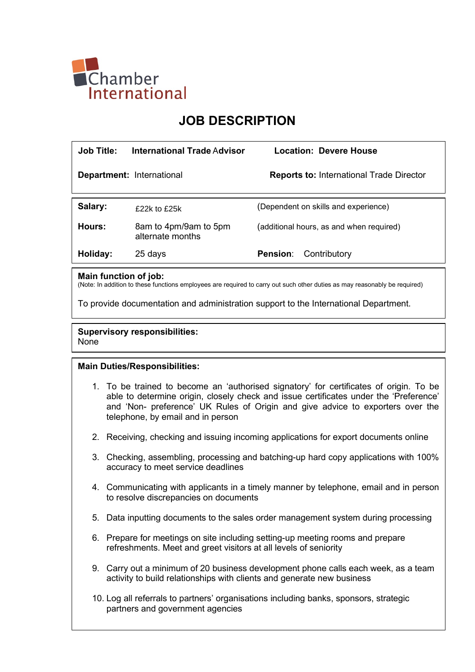

# JOB DESCRIPTION

| <b>Job Title:</b> | International Trade Advisor               | Location: Devere House                          |
|-------------------|-------------------------------------------|-------------------------------------------------|
|                   | <b>Department: International</b>          | <b>Reports to: International Trade Director</b> |
| Salary:           | $f22k$ to $f25k$                          | (Dependent on skills and experience)            |
| Hours:            | 8am to 4pm/9am to 5pm<br>alternate months | (additional hours, as and when required)        |
| Holiday:          | 25 days                                   | Contributory<br><b>Pension:</b>                 |

### Main function of job:

(Note: In addition to these functions employees are required to carry out such other duties as may reasonably be required)

To provide documentation and administration support to the International Department.

#### Supervisory responsibilities: None

## Main Duties/Responsibilities:

- 1. To be trained to become an 'authorised signatory' for certificates of origin. To be able to determine origin, closely check and issue certificates under the 'Preference' and 'Non- preference' UK Rules of Origin and give advice to exporters over the telephone, by email and in person
- 2. Receiving, checking and issuing incoming applications for export documents online
- 3. Checking, assembling, processing and batching-up hard copy applications with 100% accuracy to meet service deadlines
- 4. Communicating with applicants in a timely manner by telephone, email and in person to resolve discrepancies on documents
- 5. Data inputting documents to the sales order management system during processing
- 6. Prepare for meetings on site including setting-up meeting rooms and prepare refreshments. Meet and greet visitors at all levels of seniority
- 9. Carry out a minimum of 20 business development phone calls each week, as a team activity to build relationships with clients and generate new business
- 10. Log all referrals to partners' organisations including banks, sponsors, strategic partners and government agencies